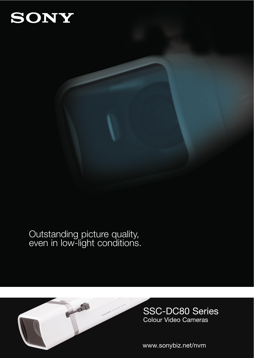## SONY

### Outstanding picture quality, even in low-light conditions.



SSC-DC80 Series Colour Video Cameras

www.sonybiz.net/nvm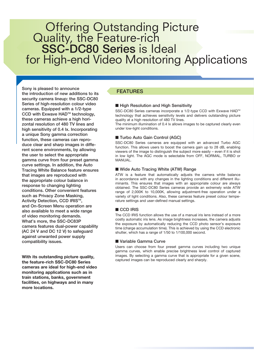## Offering Outstanding Picture Quality, the Feature-rich SSC-DC80 Series is Ideal for High-end Video Monitoring Applications

Sony is pleased to announce the introduction of new additions to its security camera lineup: the SSC-DC80 Series of high-resolution colour video cameras. Equipped with a 1/2-type CCD with Exwave HAD<sup>™</sup> technology, these cameras achieve a high horizontal resolution of 480 TV lines and high sensitivity of 0.4 lx. Incorporating a unique Sony gamma correction function, these cameras can reproduce clear and sharp images in different scene environments, by allowing the user to select the appropriate gamma curve from four preset gamma curve settings. In addition, the Auto Tracing White Balance feature ensures that images are reproduced with the appropriate colour balance in response to changing lighting conditions. Other convenient features such as Privacy Zone Masking, Activity Detection, CCD IRIS™, and On-Screen Menu operation are also available to meet a wide range of video monitoring demands. What's more, the SSC-DC83P camera features dual-power capability (AC 24 V and DC 12 V) to safeguard against unwanted power supply compatibility issues.

**With its outstanding picture quality, the feature-rich SSC-DC80 Series cameras are ideal for high-end video monitoring applications such as in train stations, banks, government facilities, on highways and in many more locations.**

#### FEATURES

#### ■ High Resolution and High Sensitivity

SSC-DC80 Series cameras incorporate a 1/2-type CCD with Exwave HAD<sup>™</sup> technology that achieves sensitivity levels and delivers outstanding picture quality at a high resolution of 480 TV lines.

The minimum illumination of 0.4 lx allows images to be captured clearly even under low-light conditions.

#### ■ Turbo Auto Gain Control (AGC)

SSC-DC80 Series cameras are equipped with an advanced Turbo AGC function. This allows users to boost the camera gain up to 28 dB, enabling viewers of the image to distinguish the subject more easily – even if it is shot in low light. The AGC mode is selectable from OFF, NORMAL, TURBO or MANUAL.

#### ■ Wide Auto Tracing White (ATW) Range

ATW is a feature that automatically adjusts the camera white balance in accordance with any changes in the lighting conditions and different illuminants. This ensures that images with an appropriate colour are always obtained. The SSC-DC80 Series cameras provide an extremely wide ATW range of 2,000K to 10,000K, allowing adjustment-free operation under a variety of light conditions. Also, these cameras feature preset colour temperature settings and user-defined manual settings.

#### ■ CCD IRIS

The CCD IRIS function allows the use of a manual iris lens instead of a more costly automatic iris lens. As image brightness increases, the camera adjusts the exposure by automatically reducing the CCD photo sensor's exposure time (charge accumulation time). This is achieved by using the CCD electronic shutter, which has a range of 1/50 to 1/100,000 second.

#### ■ Variable Gamma Curve

Users can choose from four preset gamma curves including two unique gamma curves, which enable precise brightness level control of captured images. By selecting a gamma curve that is appropriate for a given scene, captured images can be reproduced clearly and sharply.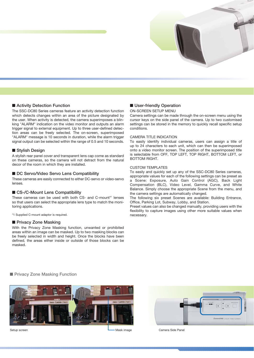

#### ■ Activity Detection Function

The SSC-DC80 Series cameras feature an activity detection function which detects changes within an area of the picture designated by the user. When activity is detected, the camera superimposes a blinking "ALARM" indication on the video monitor and outputs an alarm trigger signal to external equipment. Up to three user-defined detection areas can be freely selected. The on-screen, superimposed "ALARM" message is 10 seconds in duration, while the alarm trigger signal output can be selected within the range of 0.5 and 10 seconds.

#### ■ Stylish Design

A stylish rear panel cover and transparent lens cap come as standard on these cameras, so the camera will not detract from the natural decor of the room in which they are installed.

#### ■ DC Servo/Video Servo Lens Compatibility

These cameras are easily connected to either DC-servo or video-servo lenses.

#### ■ CS-/C-Mount Lens Compatibility

These cameras can be used with both CS- and C-mount\*1 lenses so that users can select the appropriate lens type to match the monitoring applications.

\*1 Supplied C-mount adaptor is required.

#### ■ Privacy Zone Masking

With the Privacy Zone Masking function, unwanted or prohibited areas within an image can be masked. Up to two masking blocks can be freely selected in width and height. Once the blocks have been defined, the areas either inside or outside of those blocks can be masked.

#### ■ User-friendly Operation

#### ON-SCREEN SETUP MENU

Camera settings can be made through the on-screen menu using the cursor keys on the side panel of the camera. Up to two customised settings can be stored in the memory to quickly recall specific setup conditions.

#### CAMERA TITLE INDICATION

To easily identify individual cameras, users can assign a title of up to 24 characters to each unit, which can then be superimposed onto a video monitor screen. The position of the superimposed title is selectable from OFF, TOP LEFT, TOP RIGHT, BOTTOM LEFT, or BOTTOM RIGHT.

#### CUSTOM TEMPLATES

To easily and quickly set up any of the SSC-DC80 Series cameras, appropriate values for each of the following settings can be preset as a Scene: Exposure, Auto Gain Control (AGC), Back Light Compensation (BLC), Video Level, Gamma Curve, and White Balance. Simply choose the appropriate Scene from the menu, and the camera settings are automatically changed.

The following six preset Scenes are available: Building Entrance, Office, Parking Lot, Subway, Lobby, and Station.

Preset values can also be changed manually, providing users with the flexibility to capture images using other more suitable values when necessary.

#### ■ Privacy Zone Masking Function





Setup screen **Setup screen** Mask image Camera Side Panel Camera Side Panel Camera Side Panel Camera Side Panel Camera Side Panel Camera Side Panel Camera Side Panel Camera Side Panel Camera Side Panel Camera Side Panel Cam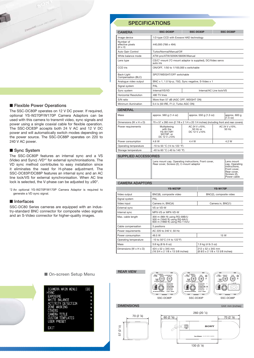

#### ■ Flexible Power Operations

The SSC-DC80P operates on 12 V DC power. If required, optional YS-W270P/W170P Camera Adaptors can be used with this camera to transmit video, sync signals and power using a single coaxial cable for flexible operation. The SSC-DC83P accepts both 24 V AC and 12 V DC power and will automatically switch modes depending on the power source. The SSC-DC88P operates on 220 to 240 V AC power.

#### ■ Sync System

The SSC-DC80P features an internal sync and a VS (Video and Sync) /VD\*2 for external synchronisations. The VD sync method contributes to easy installation since it eliminates the need for H-phase adjustment. The SSC-DC83P/DC88P features an internal sync and an AC line lock/VS for external synchronisation. When AC line lock is selected, the V-phase can be adjusted by ±90°.

\*2 An optional YS-W270P/W170P Camera Adaptor is required to generate a VD sync signal.

#### ■ Interfaces

SSC-DC80 Series cameras are equipped with an industry-standard BNC connector for composite video signals and an S-Video connector for higher-quality images.

CAMERA Image device 1/2-type CCD with Exwave HAD technology Number of<br>effective pixels 440,000 (768 x 494)  $(H \times V)$ Auto Gain Control Turbo/Normal/Manual/Off White balance mode ATW-pro/ATW/3200K/5600K/Manual Lens type CS/C<sup>\*</sup>-mount (\*C-mount adaptor is supplied), DC/Video servo auto iris CCD iris ON/OFF, 1/50 to 1/100,000 s switchable Back-Light SPOT/WEIGHT/OFF switchable<br>Compensation (BLC) Analogue video output BNC x 1, 1.0 Vp-p, 75Ω, Sync negative, S-Video x 1 Signal system PAL Sync system Internal/VS/VD Internal/VS/VD Internal/AC Line lock/VS Horizontal Resolution 480 TV lines S/N ratio More than 57 dB (AGC OFF, WEIGHT ON) Minimum illumination 0.4 lx (50 IRE, F1.2, Turbo AGC ON) **GENERAL** Mass approx. 560 g (1.4 oz) approx. 550 g (1.3 oz) SSC-DC80P SSC-DC83P SSC-DC88P

**SPECIFICATIONS** 

| Mass                                 | approx. 560 g (1.4 oz)                                                                                       | approx. 550 g (1.3 oz)                         | approx. 600 g<br>(1.5 oz)   |
|--------------------------------------|--------------------------------------------------------------------------------------------------------------|------------------------------------------------|-----------------------------|
| Dimensions (W $\times$ H $\times$ D) | $70 \times 57 \times 260$ mm (2 $7/8 \times 2$ 1/4 $\times$ 20 1/4 inches) (including front and rear covers) |                                                |                             |
| Power requirements                   | Multiplexing<br>with the<br><b>YS-W170P/</b><br>W270P, or<br>DC 12 V ±10%                                    | AC 24 V $\pm$ 10%.<br>50 Hz or<br>DC 12 V ±10% | AC 24 V $\pm$ 10%.<br>50 Hz |
| Power consumption                    | 4.6 W                                                                                                        | 4.4 W                                          | 4.2 W                       |
| Operating temperature                | -10 to 50 °C (14 to 122 °F)                                                                                  |                                                |                             |
| Storage temperature                  | -40 to 60 °C (-40 to 140 °F)                                                                                 |                                                |                             |
|                                      |                                                                                                              |                                                |                             |

#### SUPPLIED ACCESSORIES

Lens mount cap, Operating instructions, Front cover, <br>Rear cover, Screws (2), C-mount adaptor cap, Operating

```
instructions,
Front cover,
Rear cover,
Screws (2),
```
Power cable

#### CAMERA ADAPTORS

|                                      | <b>YS-W270P</b>                                                                                  | <b>YS-W170P</b>                                      |  |
|--------------------------------------|--------------------------------------------------------------------------------------------------|------------------------------------------------------|--|
| Video output                         | BNC(8), composite video                                                                          | BNC(2), composite video                              |  |
| Signal system                        | PAL                                                                                              |                                                      |  |
| Video input                          | Camera in, BNC(4)                                                                                | Camera in, BNC(1)                                    |  |
| External sync                        | VS or VD-W                                                                                       |                                                      |  |
| Internal sync                        | MPX-VS or MPX-VD-W                                                                               |                                                      |  |
| Max. cable length                    | 300 m (984 ft) using RG-59B/U<br>500 m (1640 ft) using RG-6A/U<br>600 m (1968 ft) using RG-11A/U |                                                      |  |
| Cable compensation                   | 3 positions                                                                                      |                                                      |  |
| Power requirements                   | AC 220 to 240 V, 50 Hz                                                                           |                                                      |  |
| Power consumption                    | 49.5 W                                                                                           | 15 W                                                 |  |
| Operating temperature                | -10 to 50°C (14 to 122°F)                                                                        |                                                      |  |
| Mass                                 | 3.8 kg (8 lb 6 oz)                                                                               | 1.9 kg (4 lb 3 oz)                                   |  |
| Dimensions (W $\times$ H $\times$ D) | 424 x 52 x 345 mm<br>(16 3/4 x 2 1/8 x 13 5/8 inches)                                            | 212 x 52 x 345 mm<br>(8 8/3 x 2 1/8 x 13 5/8 inches) |  |

#### REAR VIEW **MODE DC IN/VD IN VIDEO OUT A-MONITOR OUT SYNC DC IN/VD IN VS IN SYNC VIDEO OUT** VS IN **A B LL INT LL INT** 6 (@) (⊙) **RS-485 RS-485 RS-485 TERM TERM TERM OFF ON OFF ON OFF ON VIDEO OUT B-VS IN VIDEO OUT B VS IN IO** SWIPPONT **I/O + I/O + 1 S VIDEO OUT S VIDEO OUT S VIDEO OUT 1 2 DC DC AC 3 12V 12V 24V 4 – – 2 SEE INSTRUCTION MANUAL CLASS 2 WIRING SEE INSTRUCTION MANUAL CLASS 2 WIRING** SSC-DC80P SSC-DC83P SSC-DC88P DIMENSIONS Unit: mm (inches) 260 (20 1⁄4)  $\begin{array}{|c|c|c|c|c|c|}\n\hline\n\hline\n\text{70 (2 7%)} & & \text{60 (2 3%)} \end{array}$ 110 57 (2 1⁄4)SONY **LENS** COLOR VIDEO CAMERA

130 (5 1⁄8)

#### ■ On-screen Setup Menu

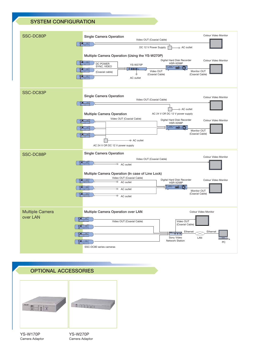

# OPTIONAL ACCESSORIES

 $= 0 + i \pm 1 \pm i \pm 1 \pm i \pm 1$  $-1 - 7$ 

YS-W170P Camera Adaptor

YS-W270P Camera Adaptor